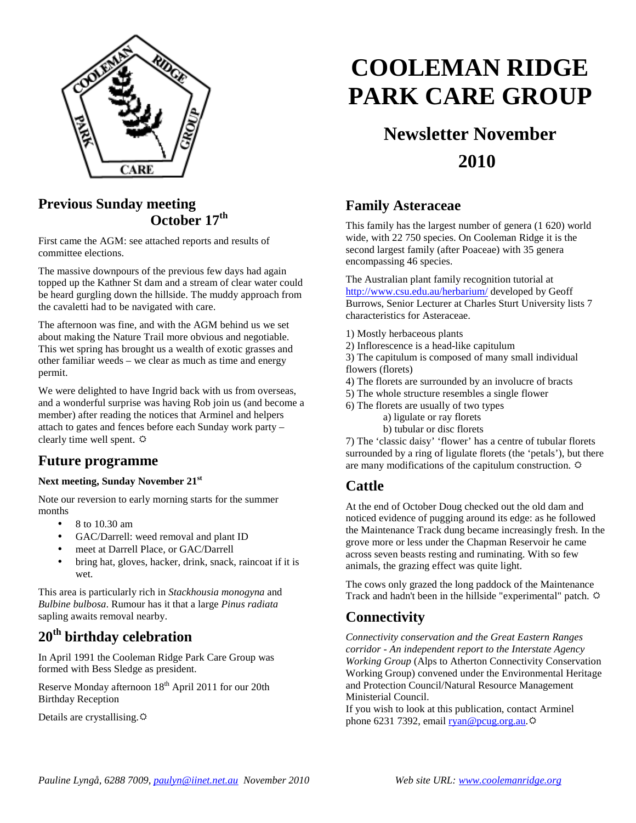

#### **Previous Sunday meeting October 17th**

First came the AGM: see attached reports and results of committee elections.

The massive downpours of the previous few days had again topped up the Kathner St dam and a stream of clear water could be heard gurgling down the hillside. The muddy approach from the cavaletti had to be navigated with care.

The afternoon was fine, and with the AGM behind us we set about making the Nature Trail more obvious and negotiable. This wet spring has brought us a wealth of exotic grasses and other familiar weeds – we clear as much as time and energy permit.

We were delighted to have Ingrid back with us from overseas, and a wonderful surprise was having Rob join us (and become a member) after reading the notices that Arminel and helpers attach to gates and fences before each Sunday work party – clearly time well spent.  $\Leftrightarrow$ 

#### **Future programme**

#### **Next meeting, Sunday November 21st**

Note our reversion to early morning starts for the summer months

- 8 to 10.30 am
- GAC/Darrell: weed removal and plant ID
- meet at Darrell Place, or GAC/Darrell
- bring hat, gloves, hacker, drink, snack, raincoat if it is wet.

This area is particularly rich in *Stackhousia monogyna* and *Bulbine bulbosa*. Rumour has it that a large *Pinus radiata* sapling awaits removal nearby.

# **20th birthday celebration**

In April 1991 the Cooleman Ridge Park Care Group was formed with Bess Sledge as president.

Reserve Monday afternoon  $18<sup>th</sup>$  April 2011 for our 20th Birthday Reception

Details are crystallising.

# **COOLEMAN RIDGE PARK CARE GROUP**

# **Newsletter November 2010**

#### **Family Asteraceae**

This family has the largest number of genera (1 620) world wide, with 22 750 species. On Cooleman Ridge it is the second largest family (after Poaceae) with 35 genera encompassing 46 species.

The Australian plant family recognition tutorial at http://www.csu.edu.au/herbarium/ developed by Geoff Burrows, Senior Lecturer at Charles Sturt University lists 7 characteristics for Asteraceae.

- 1) Mostly herbaceous plants
- 2) Inflorescence is a head-like capitulum

3) The capitulum is composed of many small individual flowers (florets)

4) The florets are surrounded by an involucre of bracts

- 5) The whole structure resembles a single flower
- 6) The florets are usually of two types
	- a) ligulate or ray florets

b) tubular or disc florets

7) The 'classic daisy' 'flower' has a centre of tubular florets surrounded by a ring of ligulate florets (the 'petals'), but there are many modifications of the capitulum construction.

### **Cattle**

At the end of October Doug checked out the old dam and noticed evidence of pugging around its edge: as he followed the Maintenance Track dung became increasingly fresh. In the grove more or less under the Chapman Reservoir he came across seven beasts resting and ruminating. With so few animals, the grazing effect was quite light.

The cows only grazed the long paddock of the Maintenance Track and hadn't been in the hillside "experimental" patch.

### **Connectivity**

*Connectivity conservation and the Great Eastern Ranges corridor - An independent report to the Interstate Agency Working Group* (Alps to Atherton Connectivity Conservation Working Group) convened under the Environmental Heritage and Protection Council/Natural Resource Management Ministerial Council.

If you wish to look at this publication, contact Arminel phone 6231 7392, email ryan@pcug.org.au. $\ddot{\varphi}$